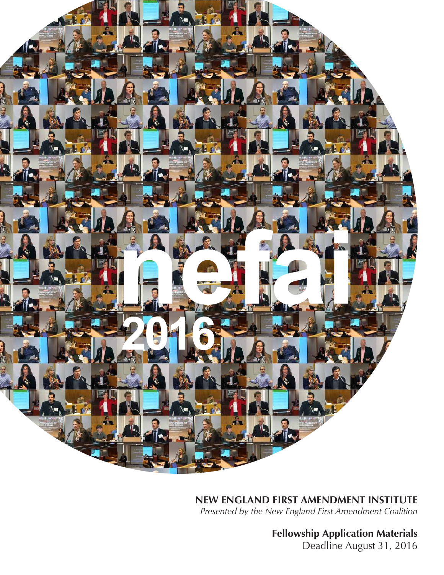

**NEW ENGLAND FIRST AMENDMENT INSTITUTE** *Presented by the New England First Amendment Coalition*

**Fellowship Application Materials**

Deadline August 31, 2016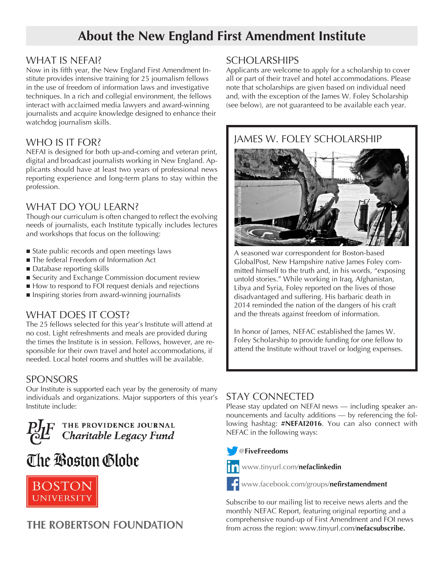# **About the New England First Amendment Institute**

#### WHAT IS NEFAI?

Now in its fifth year, the New England First Amendment Institute provides intensive training for 25 journalism fellows in the use of freedom of information laws and investigative techniques. In a rich and collegial environment, the fellows interact with acclaimed media lawyers and award-winning journalists and acquire knowledge designed to enhance their watchdog journalism skills.

#### WHO IS IT FOR?

NEFAI is designed for both up-and-coming and veteran print, digital and broadcast journalists working in New England. Applicants should have at least two years of professional news reporting experience and long-term plans to stay within the profession.

#### WHAT DO YOU LEARN?

Though our curriculum is often changed to reflect the evolving needs of journalists, each Institute typically includes lectures and workshops that focus on the following:

- State public records and open meetings laws
- The federal Freedom of Information Act
- $\blacksquare$  Database reporting skills
- Security and Exchange Commission document review
- How to respond to FOI request denials and rejections
- **n** Inspiring stories from award-winning journalists

## WHAT DOES IT COST?

The 25 fellows selected for this year's Institute will attend at no cost. Light refreshments and meals are provided during the times the Institute is in session. Fellows, however, are responsible for their own travel and hotel accommodations, if needed. Local hotel rooms and shuttles will be available.

## SPONSORS

Our Institute is supported each year by the generosity of many individuals and organizations. Major supporters of this year's Institute include:



# The Boston Globe



## THE ROBERTSON FOUNDATION

#### **SCHOLARSHIPS**

Applicants are welcome to apply for a scholarship to cover all or part of their travel and hotel accommodations. Please note that scholarships are given based on individual need and, with the exception of the James W. Foley Scholarship (see below), are not guaranteed to be available each year.



A seasoned war correspondent for Boston-based GlobalPost, New Hampshire native James Foley committed himself to the truth and, in his words, "exposing untold stories." While working in Iraq, Afghanistan, Libya and Syria, Foley reported on the lives of those disadvantaged and suffering. His barbaric death in 2014 reminded the nation of the dangers of his craft and the threats against freedom of information.

In honor of James, NEFAC established the James W. Foley Scholarship to provide funding for one fellow to attend the Institute without travel or lodging expenses.

## STAY CONNECTED

Please stay updated on NEFAI news — including speaker announcements and faculty additions — by referencing the following hashtag: **#NEFAI2016**. You can also connect with NEFAC in the following ways:

#### @**FiveFreedoms**



www.tinyurl.com/**nefaclinkedin**

www.facebook.com/groups/**nefirstamendment**

Subscribe to our mailing list to receive news alerts and the monthly NEFAC Report, featuring original reporting and a comprehensive round-up of First Amendment and FOI news from across the region: www.tinyurl.com/**nefacsubscribe.**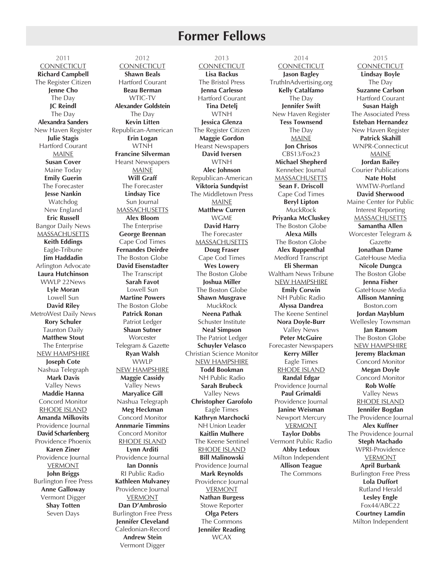## **Former Fellows**

2011 **CONNECTICUT Richard Campbell** The Register Citizen **Jenne Cho** The Day **JC Reindl** The Day **Alexandra Sanders** New Haven Register **Julie Stagis** Hartford Courant MAINE **Susan Cover** Maine Today **Emily Guerin** The Forecaster **Jesse Nankin** Watchdog New England **Eric Russell** Bangor Daily News **MASSACHUSETTS Keith Eddings** Eagle-Tribune **Jim Haddadin** Arlington Advocate **Laura Hutchinson** WWLP 22News **Lyle Moran** Lowell Sun **David Riley** MetroWest Daily News **Rory Schuler** Taunton Daily **Matthew Stout** The Enterprise NEW HAMPSHIRE **Joseph Cote** Nashua Telegraph **Mark Davis** Valley News **Maddie Hanna** Concord Monitor RHODE ISLAND **Amanda Milkovits** Providence Journal **David Scharfenberg** Providence Phoenix **Karen Ziner** Providence Journal VERMONT **John Briggs** Burlington Free Press **Anne Galloway** Vermont Digger **Shay Totten** Seven Days

2012 **CONNECTICUT Shawn Beals** Hartford Courant **Beau Berman** WTIC-TV **Alexander Goldstein** The Day **Kevin Litten** Republican-American **Erin Logan** WTNH **Francine Silverman** Hearst Newspapers MAINE **Will Graff** The Forecaster **Lindsay Tice** Sun Journal **MASSACHUSETTS Alex Bloom** The Enterprise **George Brennan** Cape Cod Times **Fernandes Deirdre** The Boston Globe **David Eisenstadter** The Transcript **Sarah Favot** Lowell Sun **Martine Powers** The Boston Globe **Patrick Ronan** Patriot Ledger **Shaun Sutner Worcester** Telegram & Gazette **Ryan Walsh** WWLP NEW HAMPSHIRE **Maggie Cassidy** Valley News **Maryalice Gill** Nashua Telegraph **Meg Heckman** Concord Monitor **Annmarie Timmins** Concord Monitor RHODE ISLAND **Lynn Arditi** Providence Journal **Ian Donnis** RI Public Radio **Kathleen Mulvaney** Providence Journal VERMONT **Dan D'Ambrosio** Burlington Free Press **Jennifer Cleveland** Caledonian-Record **Andrew Stein** Vermont Digger

2013 **CONNECTICUT Lisa Backus** The Bristol Press **Jenna Carlesso** Hartford Courant **Tina Detelj** WTNH **Jessica Glenza** The Register Citizen **Maggie Gordon** Hearst Newspapers **David Iversen WTNH Alec Johnson** Republican-American **Viktoria Sundqvist** The Middletown Press MAINE **Matthew Curren** WGME **David Harry** The Forecaster MASSACHUSETTS **Doug Fraser** Cape Cod Times **Wes Lowery** The Boston Globe **Joshua Miller** The Boston Globe **Shawn Musgrave** MuckRock **Neena Pathak** Schuster Institute **Neal Simpson** The Patriot Ledger **Schuyler Velasco** Christian Science Monitor NEW HAMPSHIRE **Todd Bookman** NH Public Radio **Sarah Brubeck** Valley News **Christopher Garofolo** Eagle Times **Kathryn Marchocki** NH Union Leader **Kaitlin Mulhere** The Keene Sentinel RHODE ISLAND **Bill Malinowski** Providence Journal **Mark Reynolds** Providence Journal VERMONT **Nathan Burgess** Stowe Reporter **Olga Peters** The Commons **Jennifer Reading**

**WCAX** 

2014 **CONNECTICUT Jason Bagley** TruthInAdvertising.org **Kelly Catalfamo** The Day **Jennifer Swift** New Haven Register **Tess Townsend** The Day MAINE **Jon Chrisos** CBS13/Fox23 **Michael Shepherd** Kennebec Journal MASSACHUSETTS **Sean F. Driscoll** Cape Cod Times **Beryl Lipton** MuckRock **Priyanka McCluskey** The Boston Globe **Alexa Mills** The Boston Globe **Alex Ruppenthal** Medford Transcript **Eli Sherman** Waltham News Tribune NEW HAMPSHIRE **Emily Corwin** NH Public Radio **Alyssa Dandrea** The Keene Sentinel **Nora Doyle-Burr** Valley News **Peter McGuire** Forecaster Newspapers **Kerry Miller** Eagle Times RHODE ISLAND **Randal Edgar** Providence Journal **Paul Grimaldi** Providence Journal **Janine Weisman** Newport Mercury VERMONT **Taylor Dobbs** Vermont Public Radio **Abby Ledoux** Milton Independent **Allison Teague** The Commons

2015 **CONNECTICUT Lindsay Boyle** The Day **Suzanne Carlson** Hartford Courant **Susan Haigh** The Associated Press **Esteban Hernandez** New Haven Register **Patrick Skahill** WNPR-Connecticut MAINE **Jordan Bailey** Courier Publications **Nate Holst** WMTW-Portland **David Sherwood** Maine Center for Public Interest Reporting **MASSACHUSETTS Samantha Allen** Worcester Telegram & Gazette **Jonathan Dame** GateHouse Media **Nicole Dungca** The Boston Globe **Jenna Fisher** GateHouse Media **Allison Manning** Boston.com **Jordan Mayblum** Wellesley Townsman **Jan Ransom** The Boston Globe NEW HAMPSHIRE **Jeremy Blackman** Concord Monitor **Megan Doyle** Concord Monitor **Rob Wolfe** Valley News RHODE ISLAND **Jennifer Bogdan** The Providence Journal **Alex Kuffner** The Providence Journal **Steph Machado** WPRI-Providence **VERMONT April Burbank** Burlington Free Press **Lola Duffort** Rutland Herald **Lesley Engle** Fox44/ABC22 **Courtney Lamdin**

Milton Independent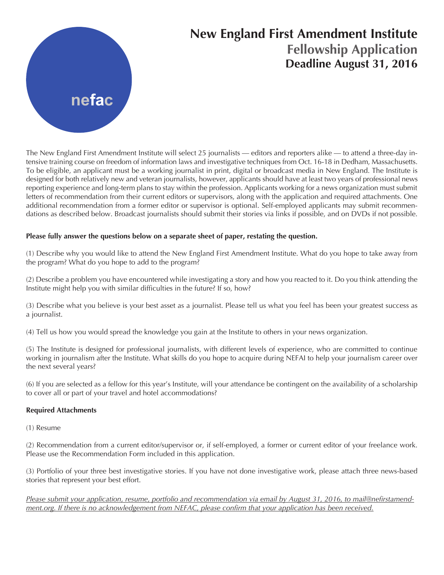

# **New England First Amendment Institute Fellowship Application Deadline August 31, 2016**

The New England First Amendment Institute will select 25 journalists — editors and reporters alike — to attend a three-day intensive training course on freedom of information laws and investigative techniques from Oct. 16-18 in Dedham, Massachusetts. To be eligible, an applicant must be a working journalist in print, digital or broadcast media in New England. The Institute is designed for both relatively new and veteran journalists, however, applicants should have at least two years of professional news reporting experience and long-term plans to stay within the profession. Applicants working for a news organization must submit letters of recommendation from their current editors or supervisors, along with the application and required attachments. One additional recommendation from a former editor or supervisor is optional. Self-employed applicants may submit recommendations as described below. Broadcast journalists should submit their stories via links if possible, and on DVDs if not possible.

#### **Please fully answer the questions below on a separate sheet of paper, restating the question.**

(1) Describe why you would like to attend the New England First Amendment Institute. What do you hope to take away from the program? What do you hope to add to the program?

(2) Describe a problem you have encountered while investigating a story and how you reacted to it. Do you think attending the Institute might help you with similar difficulties in the future? If so, how?

(3) Describe what you believe is your best asset as a journalist. Please tell us what you feel has been your greatest success as a journalist.

(4) Tell us how you would spread the knowledge you gain at the Institute to others in your news organization.

(5) The Institute is designed for professional journalists, with different levels of experience, who are committed to continue working in journalism after the Institute. What skills do you hope to acquire during NEFAI to help your journalism career over the next several years?

(6) If you are selected as a fellow for this year's Institute, will your attendance be contingent on the availability of a scholarship to cover all or part of your travel and hotel accommodations?

#### **Required Attachments**

(1) Resume

(2) Recommendation from a current editor/supervisor or, if self-employed, a former or current editor of your freelance work. Please use the Recommendation Form included in this application.

(3) Portfolio of your three best investigative stories. If you have not done investigative work, please attach three news-based stories that represent your best effort.

*Please submit your application, resume, portfolio and recommendation via email by August 31, 2016, to mail@nefirstamendment.org. If there is no acknowledgement from NEFAC, please confirm that your application has been received.*